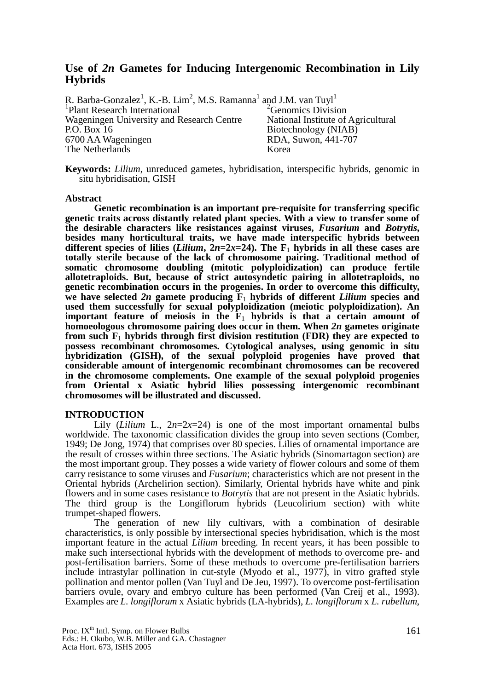# **Use of** *2n* **Gametes for Inducing Intergenomic Recombination in Lily Hybrids**

R. Barba-Gonzalez<sup>1</sup>, K.-B. Lim<sup>2</sup>, M.S. Ramanna<sup>1</sup> and J.M. van Tuyl<sup>1</sup> <sup>1</sup>Plant Research International<sup>2</sup> Genomics Division Wageningen University and Research Centre National Institute of Agricultural<br>P.O. Box 16 Biotechnology (NIAB) Biotechnology (NIAB) 6700 AA Wageningen RDA, Suwon, 441-707 The Netherlands Korea

**Keywords:** *Lilium*, unreduced gametes, hybridisation, interspecific hybrids, genomic in situ hybridisation, GISH

#### **Abstract**

**Genetic recombination is an important pre-requisite for transferring specific genetic traits across distantly related plant species. With a view to transfer some of the desirable characters like resistances against viruses,** *Fusarium* **and** *Botrytis***, besides many horticultural traits, we have made interspecific hybrids between**  different species of lilies (*Lilium*,  $2n=2x=24$ ). The  $F_1$  hybrids in all these cases are **totally sterile because of the lack of chromosome pairing. Traditional method of somatic chromosome doubling (mitotic polyploidization) can produce fertile allotetraploids. But, because of strict autosyndetic pairing in allotetraploids, no genetic recombination occurs in the progenies. In order to overcome this difficulty,**  we have selected 2n gamete producing  $\mathbf{F}_1$  hybrids of different *Lilium* species and **used them successfully for sexual polyploidization (meiotic polyploidization). An important feature of meiosis in the**  $\mathbf{F}_1$  **hybrids is that a certain amount of homoeologous chromosome pairing does occur in them. When** *2n* **gametes originate from such F**1 **hybrids through first division restitution (FDR) they are expected to possess recombinant chromosomes. Cytological analyses, using genomic in situ hybridization (GISH), of the sexual polyploid progenies have proved that considerable amount of intergenomic recombinant chromosomes can be recovered in the chromosome complements. One example of the sexual polyploid progenies from Oriental x Asiatic hybrid lilies possessing intergenomic recombinant chromosomes will be illustrated and discussed.**

## **INTRODUCTION**

Lily (*Lilium* L.,  $2n=2x=24$ ) is one of the most important ornamental bulbs worldwide. The taxonomic classification divides the group into seven sections (Comber, 1949; De Jong, 1974) that comprises over 80 species. Lilies of ornamental importance are the result of crosses within three sections. The Asiatic hybrids (Sinomartagon section) are the most important group. They posses a wide variety of flower colours and some of them carry resistance to some viruses and *Fusarium*; characteristics which are not present in the Oriental hybrids (Archelirion section). Similarly, Oriental hybrids have white and pink flowers and in some cases resistance to *Botrytis* that are not present in the Asiatic hybrids. The third group is the Longiflorum hybrids (Leucolirium section) with white trumpet-shaped flowers.

The generation of new lily cultivars, with a combination of desirable characteristics, is only possible by intersectional species hybridisation, which is the most important feature in the actual *Lilium* breeding. In recent years, it has been possible to make such intersectional hybrids with the development of methods to overcome pre- and post-fertilisation barriers. Some of these methods to overcome pre-fertilisation barriers include intrastylar pollination in cut-style (Myodo et al., 1977), in vitro grafted style pollination and mentor pollen (Van Tuyl and De Jeu, 1997). To overcome post-fertilisation barriers ovule, ovary and embryo culture has been performed (Van Creij et al., 1993). Examples are *L. longiflorum* x Asiatic hybrids (LA-hybrids), *L. longiflorum* x *L. rubellum*,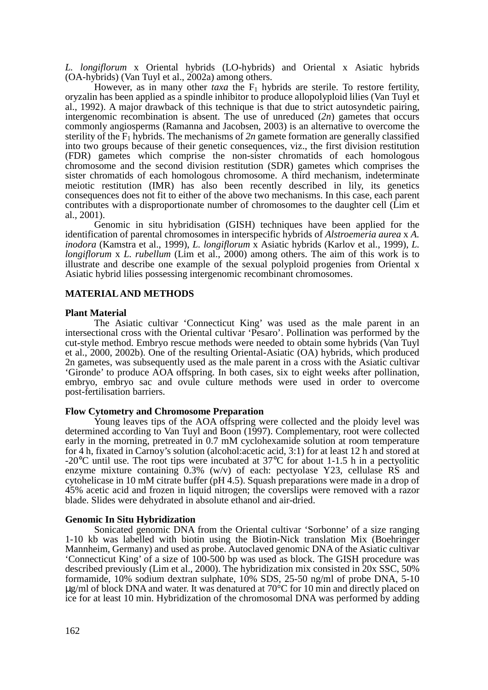*L. longiflorum* x Oriental hybrids (LO-hybrids) and Oriental x Asiatic hybrids (OA-hybrids) (Van Tuyl et al., 2002a) among others.

However, as in many other *taxa* the  $F_1$  hybrids are sterile. To restore fertility, oryzalin has been applied as a spindle inhibitor to produce allopolyploid lilies (Van Tuyl et al., 1992). A major drawback of this technique is that due to strict autosyndetic pairing, intergenomic recombination is absent. The use of unreduced (*2n*) gametes that occurs commonly angiosperms (Ramanna and Jacobsen, 2003) is an alternative to overcome the sterility of the  $F_1$  hybrids. The mechanisms of  $2n$  gamete formation are generally classified into two groups because of their genetic consequences, viz., the first division restitution (FDR) gametes which comprise the non-sister chromatids of each homologous chromosome and the second division restitution (SDR) gametes which comprises the sister chromatids of each homologous chromosome. A third mechanism, indeterminate meiotic restitution (IMR) has also been recently described in lily, its genetics consequences does not fit to either of the above two mechanisms. In this case, each parent contributes with a disproportionate number of chromosomes to the daughter cell (Lim et al., 2001).

Genomic in situ hybridisation (GISH) techniques have been applied for the identification of parental chromosomes in interspecific hybrids of *Alstroemeria aurea* x *A. inodora* (Kamstra et al., 1999), *L. longiflorum* x Asiatic hybrids (Karlov et al., 1999), *L. longiflorum* x *L. rubellum* (Lim et al., 2000) among others. The aim of this work is to illustrate and describe one example of the sexual polyploid progenies from Oriental x Asiatic hybrid lilies possessing intergenomic recombinant chromosomes.

# **MATERIAL AND METHODS**

## **Plant Material**

The Asiatic cultivar 'Connecticut King' was used as the male parent in an intersectional cross with the Oriental cultivar 'Pesaro'. Pollination was performed by the cut-style method. Embryo rescue methods were needed to obtain some hybrids (Van Tuyl et al., 2000, 2002b). One of the resulting Oriental-Asiatic (OA) hybrids, which produced 2n gametes, was subsequently used as the male parent in a cross with the Asiatic cultivar 'Gironde' to produce AOA offspring. In both cases, six to eight weeks after pollination, embryo, embryo sac and ovule culture methods were used in order to overcome post-fertilisation barriers.

## **Flow Cytometry and Chromosome Preparation**

Young leaves tips of the AOA offspring were collected and the ploidy level was determined according to Van Tuyl and Boon (1997). Complementary, root were collected early in the morning, pretreated in 0.7 mM cyclohexamide solution at room temperature for 4 h, fixated in Carnoy's solution (alcohol:acetic acid, 3:1) for at least 12 h and stored at -20°C until use. The root tips were incubated at 37°C for about 1-1.5 h in a pectyolitic enzyme mixture containing  $0.3\%$  (w/v) of each: pectyolase Y23, cellulase RS and cytohelicase in 10 mM citrate buffer (pH 4.5). Squash preparations were made in a drop of 45% acetic acid and frozen in liquid nitrogen; the coverslips were removed with a razor blade. Slides were dehydrated in absolute ethanol and air-dried.

## **Genomic In Situ Hybridization**

Sonicated genomic DNA from the Oriental cultivar 'Sorbonne' of a size ranging 1-10 kb was labelled with biotin using the Biotin-Nick translation Mix (Boehringer Mannheim, Germany) and used as probe. Autoclaved genomic DNA of the Asiatic cultivar 'Connecticut King' of a size of 100-500 bp was used as block. The GISH procedure was described previously (Lim et al., 2000). The hybridization mix consisted in 20x SSC, 50% formamide, 10% sodium dextran sulphate, 10% SDS, 25-50 ng/ml of probe DNA, 5-10  $\mu$ g/ml of block DNA and water. It was denatured at 70 $\degree$ C for 10 min and directly placed on ice for at least 10 min. Hybridization of the chromosomal DNA was performed by adding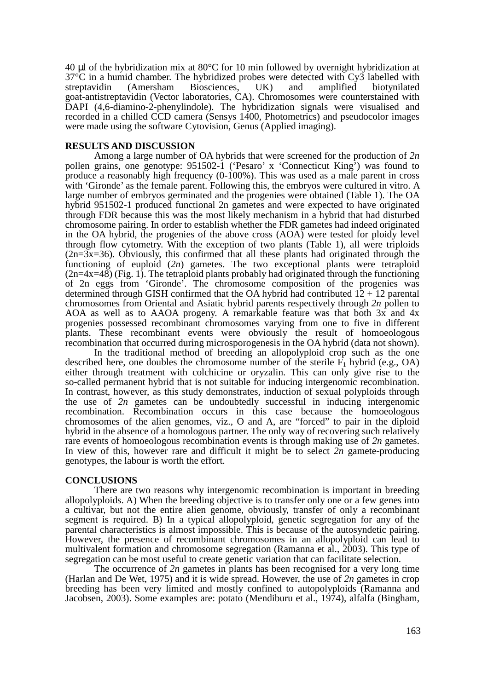40 µl of the hybridization mix at 80°C for 10 min followed by overnight hybridization at 37°C in a humid chamber. The hybridized probes were detected with Cy3 labelled with streptavidin (Amersham Biosciences, UK) and amplified biotynilated goat-antistreptavidin (Vector laboratories, CA). Chromosomes were counterstained with DAPI (4,6-diamino-2-phenylindole). The hybridization signals were visualised and recorded in a chilled CCD camera (Sensys 1400, Photometrics) and pseudocolor images were made using the software Cytovision, Genus (Applied imaging).

## **RESULTS AND DISCUSSION**

Among a large number of OA hybrids that were screened for the production of *2n*  pollen grains, one genotype: 951502-1 ('Pesaro' x 'Connecticut King') was found to produce a reasonably high frequency (0-100%). This was used as a male parent in cross with 'Gironde' as the female parent. Following this, the embryos were cultured in vitro. A large number of embryos germinated and the progenies were obtained (Table 1). The OA hybrid 951502-1 produced functional 2n gametes and were expected to have originated through FDR because this was the most likely mechanism in a hybrid that had disturbed chromosome pairing. In order to establish whether the FDR gametes had indeed originated in the OA hybrid, the progenies of the above cross (AOA) were tested for ploidy level through flow cytometry. With the exception of two plants (Table 1), all were triploids  $(2n=3x=36)$ . Obviously, this confirmed that all these plants had originated through the functioning of euploid (*2n*) gametes. The two exceptional plants were tetraploid  $(2n=4x=48)$  (Fig. 1). The tetraploid plants probably had originated through the functioning of 2n eggs from 'Gironde'. The chromosome composition of the progenies was determined through GISH confirmed that the OA hybrid had contributed  $12 + 12$  parental chromosomes from Oriental and Asiatic hybrid parents respectively through *2n* pollen to AOA as well as to AAOA progeny. A remarkable feature was that both 3x and 4x progenies possessed recombinant chromosomes varying from one to five in different plants. These recombinant events were obviously the result of homoeologous recombination that occurred during microsporogenesis in the OA hybrid (data not shown).

In the traditional method of breeding an allopolyploid crop such as the one described here, one doubles the chromosome number of the sterile  $F_1$  hybrid (e.g., OA) either through treatment with colchicine or oryzalin. This can only give rise to the so-called permanent hybrid that is not suitable for inducing intergenomic recombination. In contrast, however, as this study demonstrates, induction of sexual polyploids through the use of *2n* gametes can be undoubtedly successful in inducing intergenomic recombination. Recombination occurs in this case because the homoeologous chromosomes of the alien genomes, viz., O and A, are "forced" to pair in the diploid hybrid in the absence of a homologous partner. The only way of recovering such relatively rare events of homoeologous recombination events is through making use of *2n* gametes. In view of this, however rare and difficult it might be to select *2n* gamete-producing genotypes, the labour is worth the effort.

# **CONCLUSIONS**

There are two reasons why intergenomic recombination is important in breeding allopolyploids. A) When the breeding objective is to transfer only one or a few genes into a cultivar, but not the entire alien genome, obviously, transfer of only a recombinant segment is required. B) In a typical allopolyploid, genetic segregation for any of the parental characteristics is almost impossible. This is because of the autosyndetic pairing. However, the presence of recombinant chromosomes in an allopolyploid can lead to multivalent formation and chromosome segregation (Ramanna et al., 2003). This type of segregation can be most useful to create genetic variation that can facilitate selection.

The occurrence of *2n* gametes in plants has been recognised for a very long time (Harlan and De Wet, 1975) and it is wide spread. However, the use of *2n* gametes in crop breeding has been very limited and mostly confined to autopolyploids (Ramanna and Jacobsen, 2003). Some examples are: potato (Mendiburu et al., 1974), alfalfa (Bingham,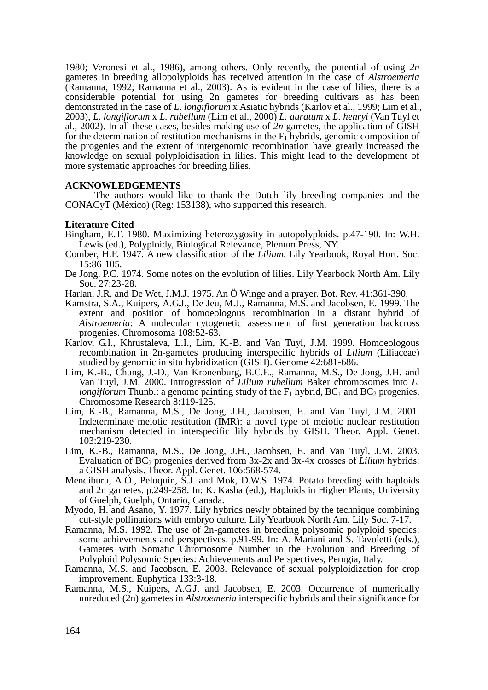1980; Veronesi et al., 1986), among others. Only recently, the potential of using *2n* gametes in breeding allopolyploids has received attention in the case of *Alstroemeria* (Ramanna, 1992; Ramanna et al., 2003). As is evident in the case of lilies, there is a considerable potential for using 2n gametes for breeding cultivars as has been demonstrated in the case of *L*. *longiflorum* x Asiatic hybrids (Karlov et al., 1999; Lim et al., 2003), *L*. *longiflorum* x *L. rubellum* (Lim et al., 2000) *L. auratum* x *L. henryi* (Van Tuyl et al., 2002). In all these cases, besides making use of *2n* gametes, the application of GISH for the determination of restitution mechanisms in the  $F_1$  hybrids, genomic composition of the progenies and the extent of intergenomic recombination have greatly increased the knowledge on sexual polyploidisation in lilies. This might lead to the development of more systematic approaches for breeding lilies.

# **ACKNOWLEDGEMENTS**

The authors would like to thank the Dutch lily breeding companies and the CONACyT (México) (Reg: 153138), who supported this research.

# **Literature Cited**

- Bingham, E.T. 1980. Maximizing heterozygosity in autopolyploids. p.47-190. In: W.H. Lewis (ed.), Polyploidy, Biological Relevance, Plenum Press, NY.
- Comber, H.F. 1947. A new classification of the *Lilium*. Lily Yearbook, Royal Hort. Soc. 15:86-105.
- De Jong, P.C. 1974. Some notes on the evolution of lilies. Lily Yearbook North Am. Lily Soc. 27:23-28.
- Harlan, J.R. and De Wet, J.M.J. 1975. An Ö Winge and a prayer. Bot. Rev. 41:361-390.
- Kamstra, S.A., Kuipers, A.G.J., De Jeu, M.J., Ramanna, M.S. and Jacobsen, E. 1999. The extent and position of homoeologous recombination in a distant hybrid of *Alstroemeria*: A molecular cytogenetic assessment of first generation backcross progenies. Chromosoma 108:52-63.
- Karlov, G.I., Khrustaleva, L.I., Lim, K.-B. and Van Tuyl, J.M. 1999. Homoeologous recombination in 2n-gametes producing interspecific hybrids of *Lilium* (Liliaceae) studied by genomic in situ hybridization (GISH). Genome 42:681-686.
- Lim, K.-B., Chung, J.-D., Van Kronenburg, B.C.E., Ramanna, M.S., De Jong, J.H. and Van Tuyl, J.M. 2000. Introgression of *Lilium rubellum* Baker chromosomes into *L. longiflorum* Thunb.: a genome painting study of the  $F_1$  hybrid,  $BC_1$  and  $BC_2$  progenies. Chromosome Research 8:119-125.
- Lim, K.-B., Ramanna, M.S., De Jong, J.H., Jacobsen, E. and Van Tuyl, J.M. 2001. Indeterminate meiotic restitution (IMR): a novel type of meiotic nuclear restitution mechanism detected in interspecific lily hybrids by GISH. Theor. Appl. Genet. 103:219-230.
- Lim, K.-B., Ramanna, M.S., De Jong, J.H., Jacobsen, E. and Van Tuyl, J.M. 2003. Evaluation of BC<sub>2</sub> progenies derived from 3x-2x and 3x-4x crosses of *Lilium* hybrids: a GISH analysis. Theor. Appl. Genet. 106:568-574.
- Mendiburu, A.O., Peloquin, S.J. and Mok, D.W.S. 1974. Potato breeding with haploids and 2n gametes. p.249-258. In: K. Kasha (ed.), Haploids in Higher Plants, University of Guelph, Guelph, Ontario, Canada.
- Myodo, H. and Asano, Y. 1977. Lily hybrids newly obtained by the technique combining cut-style pollinations with embryo culture. Lily Yearbook North Am. Lily Soc. 7-17.
- Ramanna, M.S. 1992. The use of 2n-gametes in breeding polysomic polyploid species: some achievements and perspectives. p.91-99. In: A. Mariani and S. Tavoletti (eds.), Gametes with Somatic Chromosome Number in the Evolution and Breeding of Polyploid Polysomic Species: Achievements and Perspectives, Perugia, Italy.
- Ramanna, M.S. and Jacobsen, E. 2003. Relevance of sexual polyploidization for crop improvement. Euphytica 133:3-18.
- Ramanna, M.S., Kuipers, A.G.J. and Jacobsen, E. 2003. Occurrence of numerically unreduced (2n) gametes in *Alstroemeria* interspecific hybrids and their significance for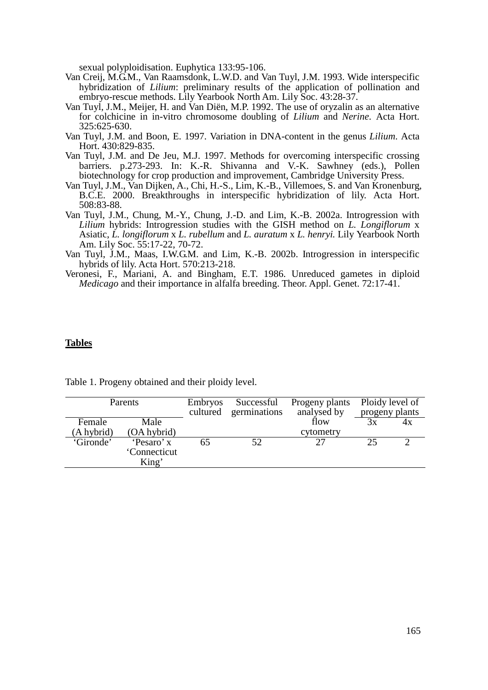sexual polyploidisation. Euphytica 133:95-106.

- Van Creij, M.G.M., Van Raamsdonk, L.W.D. and Van Tuyl, J.M. 1993. Wide interspecific hybridization of *Lilium*: preliminary results of the application of pollination and embryo-rescue methods. Lily Yearbook North Am. Lily Soc. 43:28-37.
- Van Tuyl, J.M., Meijer, H. and Van Diën, M.P. 1992. The use of oryzalin as an alternative for colchicine in in-vitro chromosome doubling of *Lilium* and *Nerine*. Acta Hort. 325:625-630.
- Van Tuyl, J.M. and Boon, E. 1997. Variation in DNA-content in the genus *Lilium*. Acta Hort. 430:829-835.
- Van Tuyl, J.M. and De Jeu, M.J. 1997. Methods for overcoming interspecific crossing barriers. p.273-293. In: K.-R. Shivanna and V.-K. Sawhney (eds.), Pollen biotechnology for crop production and improvement, Cambridge University Press.
- Van Tuyl, J.M., Van Dijken, A., Chi, H.-S., Lim, K.-B., Villemoes, S. and Van Kronenburg, B.C.E. 2000. Breakthroughs in interspecific hybridization of lily. Acta Hort. 508:83-88.
- Van Tuyl, J.M., Chung, M.-Y., Chung, J.-D. and Lim, K.-B. 2002a. Introgression with *Lilium* hybrids: Introgression studies with the GISH method on *L. Longiflorum* x Asiatic, *L. longiflorum* x *L. rubellum* and *L. auratum* x *L. henryi.* Lily Yearbook North Am. Lily Soc. 55:17-22, 70-72.
- Van Tuyl, J.M., Maas, I.W.G.M. and Lim, K.-B. 2002b. Introgression in interspecific hybrids of lily. Acta Hort. 570:213-218.
- Veronesi, F., Mariani, A. and Bingham, E.T. 1986. Unreduced gametes in diploid *Medicago* and their importance in alfalfa breeding. Theor. Appl. Genet. 72:17-41.

## **Tables**

| Parents    |              | <b>Embryos</b> | Successful   | Progeny plants | Ploidy level of |    |
|------------|--------------|----------------|--------------|----------------|-----------------|----|
|            |              | cultured       | germinations | analysed by    | progeny plants  |    |
| Female     | Male         |                |              | flow           | 3x              | 4x |
| (A hybrid) | (OA hybrid)  |                |              | cytometry      |                 |    |
| 'Gironde'  | 'Pesaro' x   | 65             | 52           | 27             | 25              |    |
|            | 'Connecticut |                |              |                |                 |    |
|            | King'        |                |              |                |                 |    |

Table 1. Progeny obtained and their ploidy level.